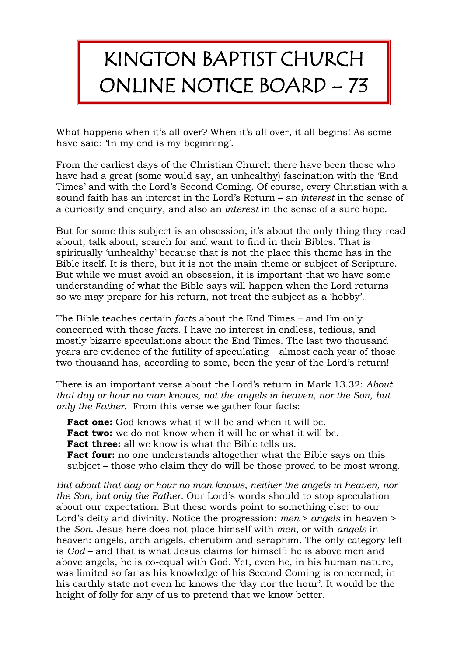## KINGTON BAPTIST CHURCH ONLINE NOTICE BOARD – 73

What happens when it's all over? When it's all over, it all begins! As some have said: 'In my end is my beginning'.

From the earliest days of the Christian Church there have been those who have had a great (some would say, an unhealthy) fascination with the 'End Times' and with the Lord's Second Coming. Of course, every Christian with a sound faith has an interest in the Lord's Return – an *interest* in the sense of a curiosity and enquiry, and also an *interest* in the sense of a sure hope.

But for some this subject is an obsession; it's about the only thing they read about, talk about, search for and want to find in their Bibles. That is spiritually 'unhealthy' because that is not the place this theme has in the Bible itself. It is there, but it is not the main theme or subject of Scripture. But while we must avoid an obsession, it is important that we have some understanding of what the Bible says will happen when the Lord returns – so we may prepare for his return, not treat the subject as a 'hobby'.

The Bible teaches certain *facts* about the End Times – and I'm only concerned with those *facts.* I have no interest in endless, tedious, and mostly bizarre speculations about the End Times. The last two thousand years are evidence of the futility of speculating – almost each year of those two thousand has, according to some, been the year of the Lord's return!

There is an important verse about the Lord's return in Mark 13.32: *About that day or hour no man knows, not the angels in heaven, nor the Son, but only the Father.* From this verse we gather four facts:

**Fact one:** God knows what it will be and when it will be.

**Fact two:** we do not know when it will be or what it will be.

**Fact three:** all we know is what the Bible tells us.

**Fact four:** no one understands altogether what the Bible says on this subject – those who claim they do will be those proved to be most wrong.

*But about that day or hour no man knows, neither the angels in heaven, nor the Son, but only the Father.* Our Lord's words should to stop speculation about our expectation. But these words point to something else: to our Lord's deity and divinity. Notice the progression: *men* > *angels* in heaven > the *Son*. Jesus here does not place himself with *men*, or with *angels* in heaven: angels, arch-angels, cherubim and seraphim. The only category left is *God* – and that is what Jesus claims for himself: he is above men and above angels, he is co-equal with God. Yet, even he, in his human nature, was limited so far as his knowledge of his Second Coming is concerned; in his earthly state not even he knows the 'day nor the hour'. It would be the height of folly for any of us to pretend that we know better.